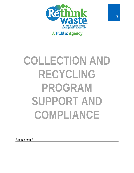

## **A Public Agency**

# **COLLECTION AND RECYCLING PROGRAM SUPPORT AND COMPLIANCE**

**Agenda Item 7**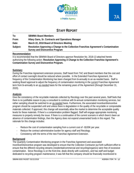

### **STAFF REPORT**

| To:      | <b>SBWMA Board Members</b>                                                          |
|----------|-------------------------------------------------------------------------------------|
| From:    | Hilary Gans, Sr. Contracts and Operations Manager                                   |
| Date:    | March 22, 2018 Board of Directors Meeting                                           |
| Subject: | Resolution Approving a Change to the Collection Franchise Agreement's Contamination |
|          | <b>Survey and Disincentive Program</b>                                              |

#### **Recommendation**

It is recommended that the SBWMA Board of Directors approve Resolution No. 2018-13 attached hereto authorizing the following action: **Resolution Approving A Change to the Collection Franchise Agreement's Contamination Survey and Disincentive Program.**

#### **Summary**

During the Franchise Agreement extension process, Staff heard from TAC and Board members that the cost and effort of contact oversight should be reduced where possible. In the Extended Franchise Agreement, the frequency of the Contamination Monitoring has been changed from bi-annually to an as-needed basis. Staff is seeking Board approval to adjust the frequency of contamination monitoring in the current Franchise Agreement term from bi-annually to an as-needed basis for the remaining years of the Agreement (through December 31, 2020).

#### **Analysis**

Give the consistency of the recyclable materials collected by Recology over the past several years, Staff feels that there is no justifiable reason to pay a consultant to continue with bi-annual contamination monitoring services, but rather sampling should be switched to an as-needed basis. Furthermore, the associated incentive/disincentive program should be suspended until and unless there is degradation in the quality of the recyclable or compostable materials collected. If approved, this change will essentially allow the market to determine the acceptable quality levels for these materials. If there's a contamination problem flagged, Staff will engage appropriate monitoring measures to properly remedy the issue. If there is a continuation of the current scenario in which there's been an absence of contamination findings, then the Agency does not expend unwarranted funds in this regard. The rationale for this change includes:

- Reduce the cost of contamination sampling from a current cost of ~\$100K per year.
- ‐ Reduce the contract administrative burden for agency staff and Recology.
- ‐ Consistency with the terms of the new Franchise Agreement Extension.

#### **Background**

The Quarterly Contamination Monitoring program in the Franchise Agreement and associated Incentive/Disincentive program was developed to ensure that the Collection Contractor put forth sufficient effort to ensure that the different recycling streams (residential/commercial and recycling/organics) were free of excessive contamination. Since Recology is on the front-line, deals directly with customers, and has staff and budget dedicated to recycling program maintenance; it was felt that the company should be financially incentivized to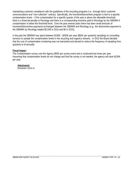maintaining customer compliance with the guidelines of the recycling programs (i.e., through direct customer communications and "non-collection" notices). Specifically, the incentive/disincentive program is tied to a specific contamination levels – if the contamination for a specific quarter of the year is above the allowable threshold, there is a financial penalty to Recology and there is a corresponding incentive paid to Recology by the SBWMA if contamination is below the threshold level. Over the past several years there has been small amounts of incentive/disincentive payments exchanged between the SBWMA and Recology (e.g., the disincentive payment to the SBWMA by Recology totaled \$5,546 in 2016 and \$0 in 2015).

In the past the SBWMA has spent between \$100K - \$200K per year (\$50K per quarterly sampling) on consulting services to sample the contamination levels in the recycling and organics streams. In 2015 the Board decided that the cost of contamination monitoring was not warranted and elected to reduce the frequency of sampling from quarterly to bi-annually.

#### **Fiscal Impact**

The Contamination survey cost the Agency \$50K per survey event and is conducted two times per year. Assuming that contamination levels do not change and that the survey is not needed, the agency will save \$100K per year.

*Attachments:*  Resolution 2018-13